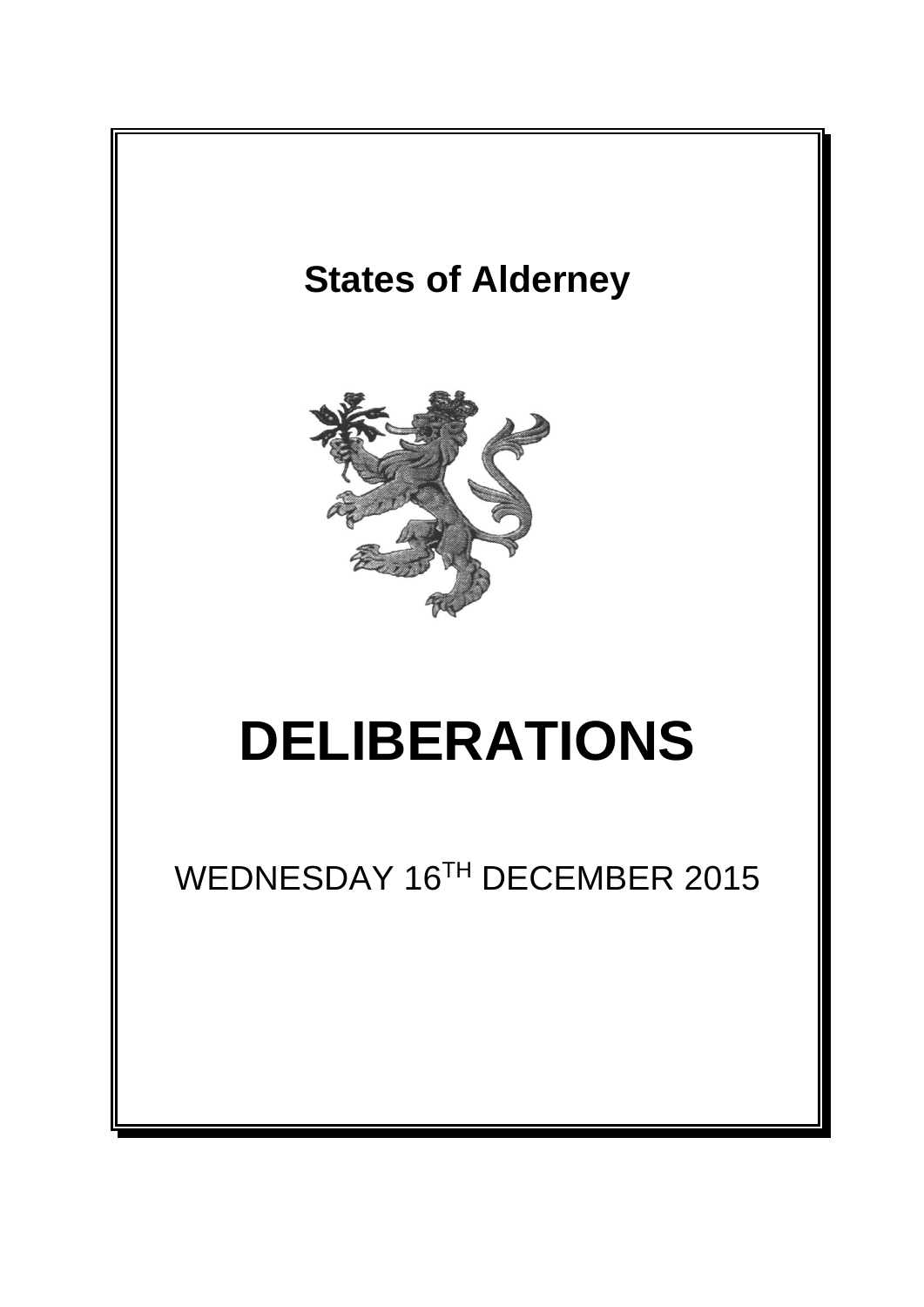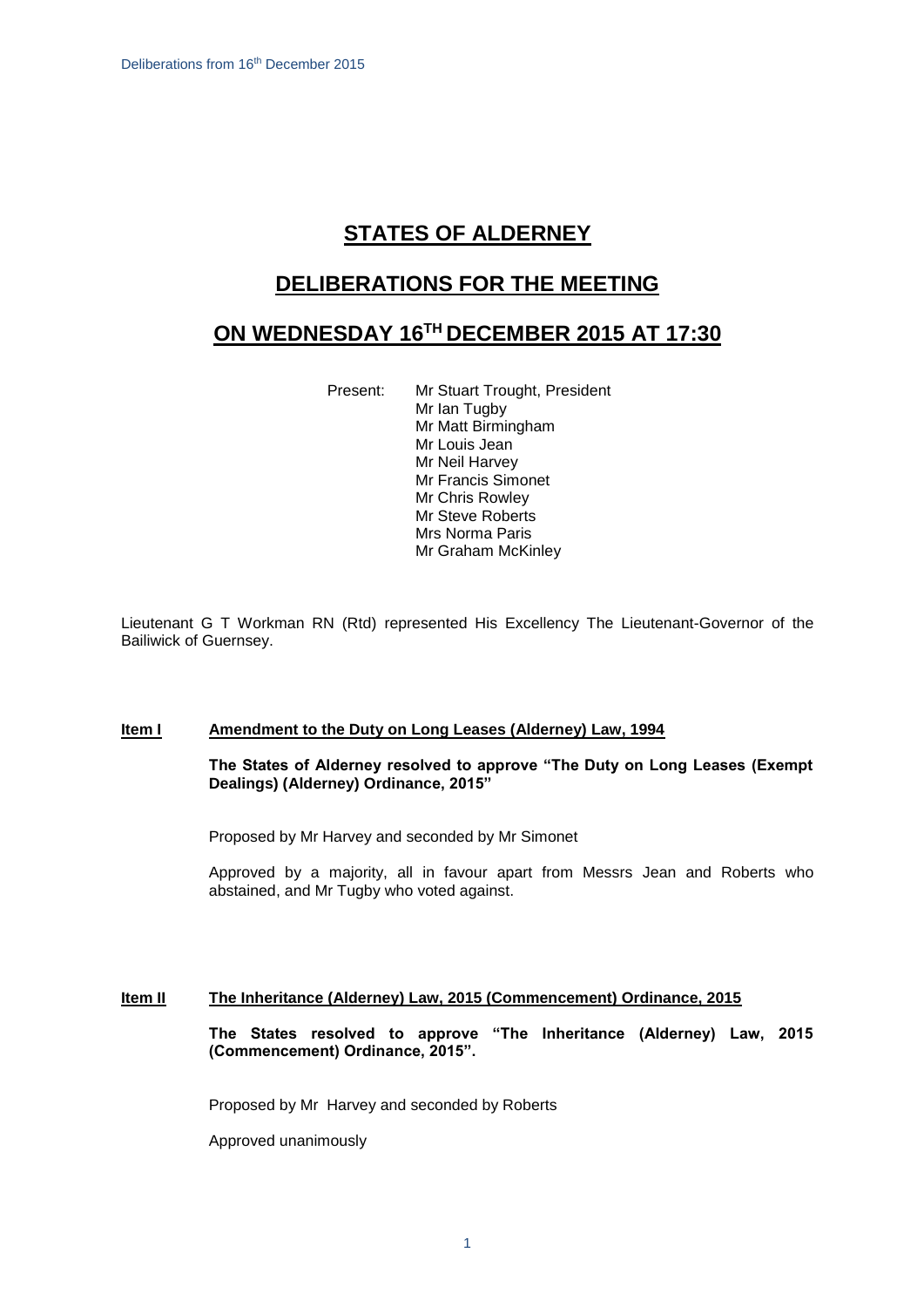# **STATES OF ALDERNEY**

### **DELIBERATIONS FOR THE MEETING**

## **ON WEDNESDAY 16 TH DECEMBER 2015 AT 17:30**

Present: Mr Stuart Trought, President Mr Ian Tugby Mr Matt Birmingham Mr Louis Jean Mr Neil Harvey Mr Francis Simonet Mr Chris Rowley Mr Steve Roberts Mrs Norma Paris Mr Graham McKinley

Lieutenant G T Workman RN (Rtd) represented His Excellency The Lieutenant-Governor of the Bailiwick of Guernsey.

#### **Item I Amendment to the Duty on Long Leases (Alderney) Law, 1994**

#### **The States of Alderney resolved to approve "The Duty on Long Leases (Exempt Dealings) (Alderney) Ordinance, 2015"**

Proposed by Mr Harvey and seconded by Mr Simonet

Approved by a majority, all in favour apart from Messrs Jean and Roberts who abstained, and Mr Tugby who voted against.

#### **Item II The Inheritance (Alderney) Law, 2015 (Commencement) Ordinance, 2015**

**The States resolved to approve "The Inheritance (Alderney) Law, 2015 (Commencement) Ordinance, 2015".**

Proposed by Mr Harvey and seconded by Roberts

Approved unanimously